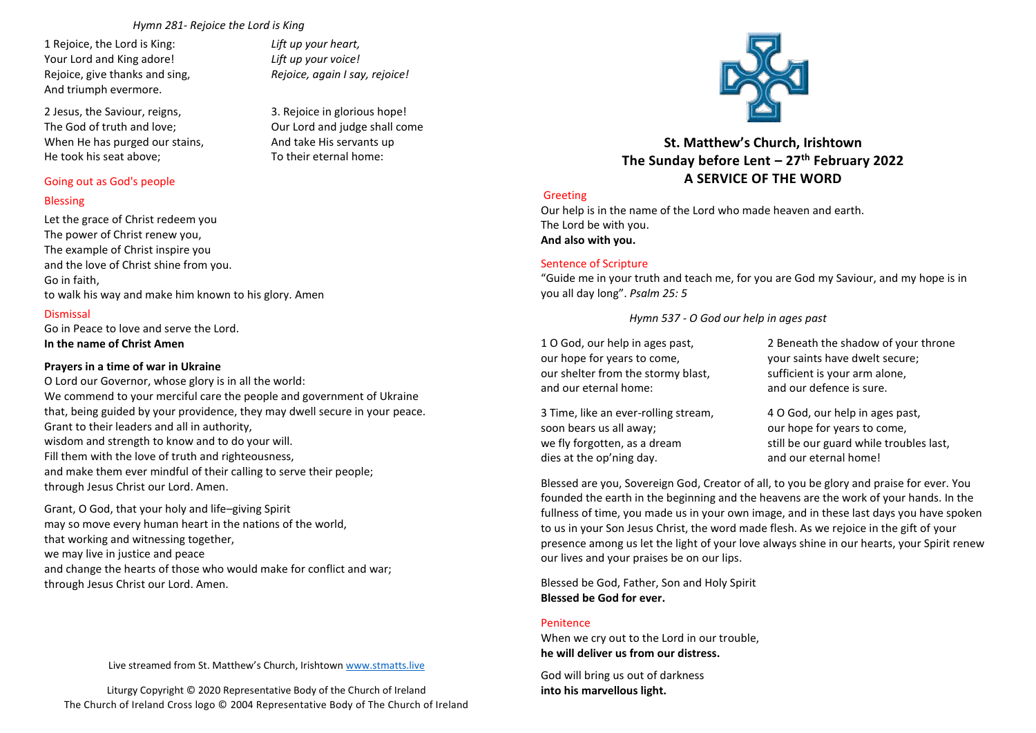### *Hymn 281- Rejoice the Lord is King*

1 Rejoice, the Lord is King: *Lift up your heart,* Your Lord and King adore! *Lift up your voice!* Rejoice, give thanks and sing, *Rejoice, again I say, rejoice!* And triumph evermore.

2 Jesus, the Saviour, reigns, 2. Rejoice in glorious hope! The God of truth and love; **OUR COUP COUP** Our Lord and judge shall come When He has purged our stains, The Mand take His servants up He took his seat above: To their eternal home:

## Going out as God's people

## Blessing

Let the grace of Christ redeem you The power of Christ renew you, The example of Christ inspire you and the love of Christ shine from you. Go in faith, to walk his way and make him known to his glory. Amen

# Dismissal

Go in Peace to love and serve the Lord. **In the name of Christ Amen** 

## **Prayers in a time of war in Ukraine**

O Lord our Governor, whose glory is in all the world: We commend to your merciful care the people and government of Ukraine that, being guided by your providence, they may dwell secure in your peace. Grant to their leaders and all in authority, wisdom and strength to know and to do your will. Fill them with the love of truth and righteousness, and make them ever mindful of their calling to serve their people; through Jesus Christ our Lord. Amen.

Grant, O God, that your holy and life–giving Spirit may so move every human heart in the nations of the world, that working and witnessing together, we may live in justice and peace and change the hearts of those who would make for conflict and war; through Jesus Christ our Lord. Amen.

## Live streamed from St. Matthew's Church, Irishtown [www.stmatts.live](http://www.stmatts.live/)

Liturgy Copyright © 2020 Representative Body of the Church of Ireland The Church of Ireland Cross logo © 2004 Representative Body of The Church of Ireland



# **St. Matthew's Church, Irishtown The Sunday before Lent – 27th February 2022 A SERVICE OF THE WORD**

## Greeting

Our help is in the name of the Lord who made heaven and earth. The Lord be with you. **And also with you.**

## Sentence of Scripture

"Guide me in your truth and teach me, for you are God my Saviour, and my hope is in you all day long". *Psalm 25: 5* 

*Hymn 537 - O God our help in ages past*

1 O God, our help in ages past, 2 Beneath the shadow of your throne our hope for years to come, your saints have dwelt secure; our shelter from the stormy blast, sufficient is your arm alone, and our eternal home: and our defence is sure.

soon bears us all away; soon bears us all away; dies at the op'ning day. The same of the open control of the same of the same of the same of the same of the s

3 Time, like an ever-rolling stream, 4 O God, our help in ages past, we fly forgotten, as a dream still be our guard while troubles last,

Blessed are you, Sovereign God, Creator of all, to you be glory and praise for ever. You founded the earth in the beginning and the heavens are the work of your hands. In the fullness of time, you made us in your own image, and in these last days you have spoken to us in your Son Jesus Christ, the word made flesh. As we rejoice in the gift of your presence among us let the light of your love always shine in our hearts, your Spirit renew our lives and your praises be on our lips.

Blessed be God, Father, Son and Holy Spirit **Blessed be God for ever.**

## **Penitence**

When we cry out to the Lord in our trouble, **he will deliver us from our distress.**

God will bring us out of darkness **into his marvellous light.**